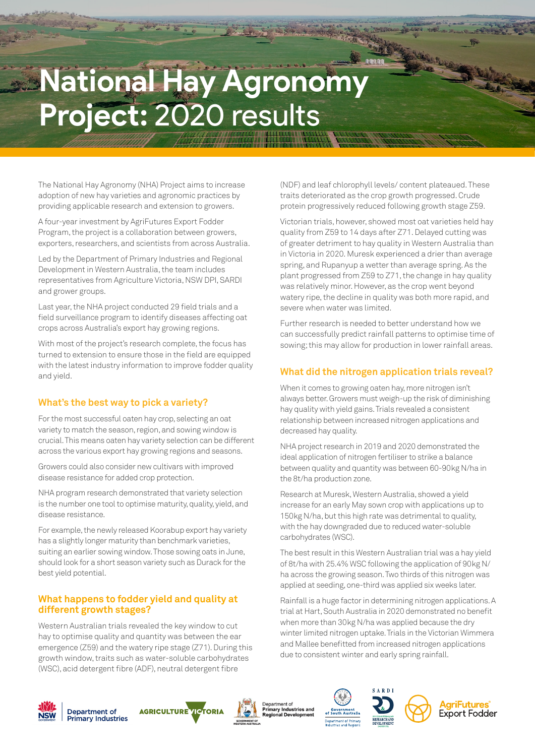# **National Hay Agronomy Project:** 2020 results

The National Hay Agronomy (NHA) Project aims to increase adoption of new hay varieties and agronomic practices by providing applicable research and extension to growers.

A four-year investment by AgriFutures Export Fodder Program, the project is a collaboration between growers, exporters, researchers, and scientists from across Australia.

Led by the Department of Primary Industries and Regional Development in Western Australia, the team includes representatives from Agriculture Victoria, NSW DPI, SARDI and grower groups.

Last year, the NHA project conducted 29 field trials and a field surveillance program to identify diseases affecting oat crops across Australia's export hay growing regions.

With most of the project's research complete, the focus has turned to extension to ensure those in the field are equipped with the latest industry information to improve fodder quality and yield.

# **What's the best way to pick a variety?**

For the most successful oaten hay crop, selecting an oat variety to match the season, region, and sowing window is crucial. This means oaten hay variety selection can be different across the various export hay growing regions and seasons.

Growers could also consider new cultivars with improved disease resistance for added crop protection.

NHA program research demonstrated that variety selection is the number one tool to optimise maturity, quality, yield, and disease resistance.

For example, the newly released Koorabup export hay variety has a slightly longer maturity than benchmark varieties, suiting an earlier sowing window. Those sowing oats in June, should look for a short season variety such as Durack for the best yield potential.

## **What happens to fodder yield and quality at different growth stages?**

Western Australian trials revealed the key window to cut hay to optimise quality and quantity was between the ear emergence (Z59) and the watery ripe stage (Z71). During this growth window, traits such as water-soluble carbohydrates (WSC), acid detergent fibre (ADF), neutral detergent fibre

(NDF) and leaf chlorophyll levels/ content plateaued. These traits deteriorated as the crop growth progressed. Crude protein progressively reduced following growth stage Z59.

Victorian trials, however, showed most oat varieties held hay quality from Z59 to 14 days after Z71. Delayed cutting was of greater detriment to hay quality in Western Australia than in Victoria in 2020. Muresk experienced a drier than average spring, and Rupanyup a wetter than average spring. As the plant progressed from Z59 to Z71, the change in hay quality was relatively minor. However, as the crop went beyond watery ripe, the decline in quality was both more rapid, and severe when water was limited.

Further research is needed to better understand how we can successfully predict rainfall patterns to optimise time of sowing; this may allow for production in lower rainfall areas.

# **What did the nitrogen application trials reveal?**

When it comes to growing oaten hay, more nitrogen isn't always better. Growers must weigh-up the risk of diminishing hay quality with yield gains. Trials revealed a consistent relationship between increased nitrogen applications and decreased hay quality.

NHA project research in 2019 and 2020 demonstrated the ideal application of nitrogen fertiliser to strike a balance between quality and quantity was between 60-90kg N/ha in the 8t/ha production zone.

Research at Muresk, Western Australia, showed a yield increase for an early May sown crop with applications up to 150kg N/ha, but this high rate was detrimental to quality, with the hay downgraded due to reduced water-soluble carbohydrates (WSC).

The best result in this Western Australian trial was a hay yield of 8t/ha with 25.4% WSC following the application of 90kg N/ ha across the growing season. Two thirds of this nitrogen was applied at seeding, one-third was applied six weeks later.

Rainfall is a huge factor in determining nitrogen applications. A trial at Hart, South Australia in 2020 demonstrated no benefit when more than 30kg N/ha was applied because the dry winter limited nitrogen uptake. Trials in the Victorian Wimmera and Mallee benefitted from increased nitrogen applications due to consistent winter and early spring rainfall.